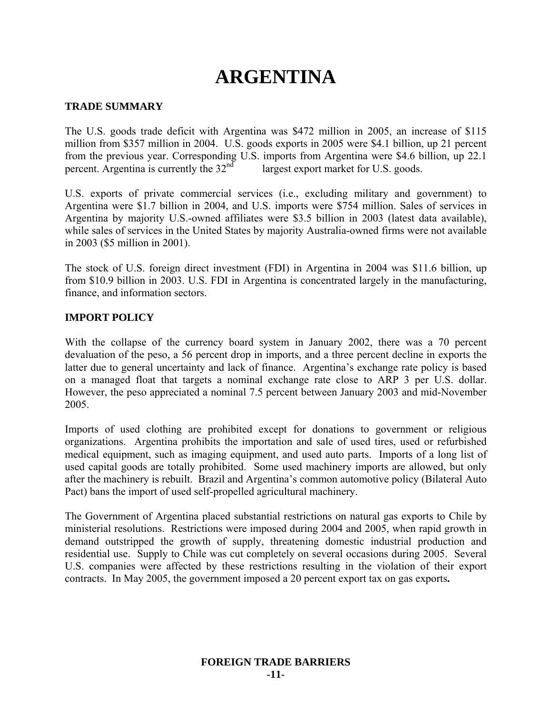# **ARGENTINA**

#### **TRADE SUMMARY**

The U.S. goods trade deficit with Argentina was \$472 million in 2005, an increase of \$115 million from \$357 million in 2004. U.S. goods exports in 2005 were \$4.1 billion, up 21 percent from the previous year. Corresponding U.S. imports from Argentina were \$4.6 billion, up 22.1 percent. Argentina is currently the  $32<sup>nd</sup>$  largest export market for U.S. goods.

U.S. exports of private commercial services (i.e., excluding military and government) to Argentina were \$1.7 billion in 2004, and U.S. imports were \$754 million. Sales of services in Argentina by majority U.S.-owned affiliates were \$3.5 billion in 2003 (latest data available), while sales of services in the United States by majority Australia-owned firms were not available in 2003 (\$5 million in 2001).

The stock of U.S. foreign direct investment (FDI) in Argentina in 2004 was \$11.6 billion, up from \$10.9 billion in 2003. U.S. FDI in Argentina is concentrated largely in the manufacturing, finance, and information sectors.

#### **IMPORT POLICY**

With the collapse of the currency board system in January 2002, there was a 70 percent devaluation of the peso, a 56 percent drop in imports, and a three percent decline in exports the latter due to general uncertainty and lack of finance. Argentina's exchange rate policy is based on a managed float that targets a nominal exchange rate close to ARP 3 per U.S. dollar. However, the peso appreciated a nominal 7.5 percent between January 2003 and mid-November 2005.

Imports of used clothing are prohibited except for donations to government or religious organizations. Argentina prohibits the importation and sale of used tires, used or refurbished medical equipment, such as imaging equipment, and used auto parts. Imports of a long list of used capital goods are totally prohibited. Some used machinery imports are allowed, but only after the machinery is rebuilt. Brazil and Argentina's common automotive policy (Bilateral Auto Pact) bans the import of used self-propelled agricultural machinery.

The Government of Argentina placed substantial restrictions on natural gas exports to Chile by ministerial resolutions. Restrictions were imposed during 2004 and 2005, when rapid growth in demand outstripped the growth of supply, threatening domestic industrial production and residential use. Supply to Chile was cut completely on several occasions during 2005. Several U.S. companies were affected by these restrictions resulting in the violation of their export contracts. In May 2005, the government imposed a 20 percent export tax on gas exports**.**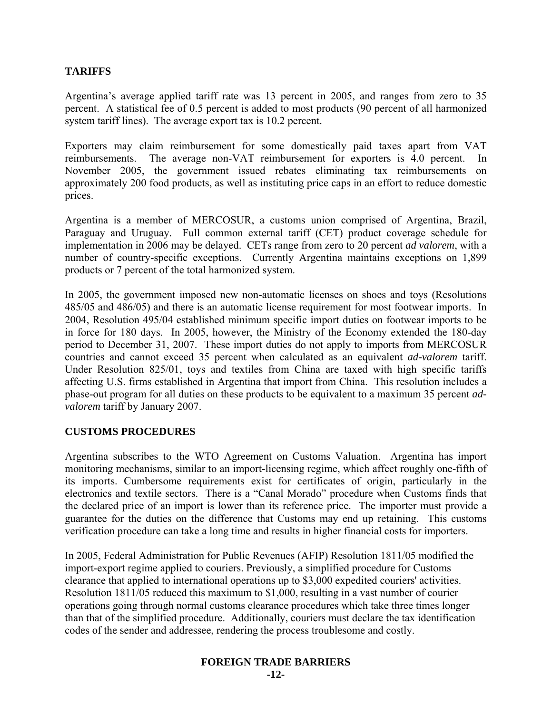## **TARIFFS**

Argentina's average applied tariff rate was 13 percent in 2005, and ranges from zero to 35 percent. A statistical fee of 0.5 percent is added to most products (90 percent of all harmonized system tariff lines). The average export tax is 10.2 percent.

Exporters may claim reimbursement for some domestically paid taxes apart from VAT reimbursements. The average non-VAT reimbursement for exporters is 4.0 percent. In November 2005, the government issued rebates eliminating tax reimbursements on approximately 200 food products, as well as instituting price caps in an effort to reduce domestic prices.

Argentina is a member of MERCOSUR, a customs union comprised of Argentina, Brazil, Paraguay and Uruguay. Full common external tariff (CET) product coverage schedule for implementation in 2006 may be delayed. CETs range from zero to 20 percent *ad valorem*, with a number of country-specific exceptions. Currently Argentina maintains exceptions on 1,899 products or 7 percent of the total harmonized system.

In 2005, the government imposed new non-automatic licenses on shoes and toys (Resolutions 485/05 and 486/05) and there is an automatic license requirement for most footwear imports. In 2004, Resolution 495/04 established minimum specific import duties on footwear imports to be in force for 180 days. In 2005, however, the Ministry of the Economy extended the 180-day period to December 31, 2007. These import duties do not apply to imports from MERCOSUR countries and cannot exceed 35 percent when calculated as an equivalent *ad-valorem* tariff. Under Resolution 825/01, toys and textiles from China are taxed with high specific tariffs affecting U.S. firms established in Argentina that import from China. This resolution includes a phase-out program for all duties on these products to be equivalent to a maximum 35 percent *advalorem* tariff by January 2007.

#### **CUSTOMS PROCEDURES**

Argentina subscribes to the WTO Agreement on Customs Valuation. Argentina has import monitoring mechanisms, similar to an import-licensing regime, which affect roughly one-fifth of its imports. Cumbersome requirements exist for certificates of origin, particularly in the electronics and textile sectors. There is a "Canal Morado" procedure when Customs finds that the declared price of an import is lower than its reference price. The importer must provide a guarantee for the duties on the difference that Customs may end up retaining. This customs verification procedure can take a long time and results in higher financial costs for importers.

In 2005, Federal Administration for Public Revenues (AFIP) Resolution 1811/05 modified the import-export regime applied to couriers. Previously, a simplified procedure for Customs clearance that applied to international operations up to \$3,000 expedited couriers' activities. Resolution 1811/05 reduced this maximum to \$1,000, resulting in a vast number of courier operations going through normal customs clearance procedures which take three times longer than that of the simplified procedure. Additionally, couriers must declare the tax identification codes of the sender and addressee, rendering the process troublesome and costly.

## **FOREIGN TRADE BARRIERS**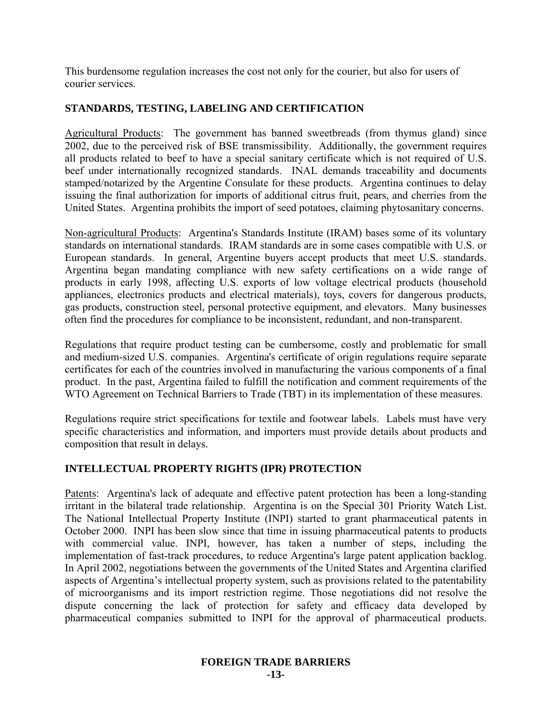This burdensome regulation increases the cost not only for the courier, but also for users of courier services.

## **STANDARDS, TESTING, LABELING AND CERTIFICATION**

Agricultural Products: The government has banned sweetbreads (from thymus gland) since 2002, due to the perceived risk of BSE transmissibility. Additionally, the government requires all products related to beef to have a special sanitary certificate which is not required of U.S. beef under internationally recognized standards. INAL demands traceability and documents stamped/notarized by the Argentine Consulate for these products. Argentina continues to delay issuing the final authorization for imports of additional citrus fruit, pears, and cherries from the United States. Argentina prohibits the import of seed potatoes, claiming phytosanitary concerns.

Non-agricultural Products: Argentina's Standards Institute (IRAM) bases some of its voluntary standards on international standards. IRAM standards are in some cases compatible with U.S. or European standards. In general, Argentine buyers accept products that meet U.S. standards. Argentina began mandating compliance with new safety certifications on a wide range of products in early 1998, affecting U.S. exports of low voltage electrical products (household appliances, electronics products and electrical materials), toys, covers for dangerous products, gas products, construction steel, personal protective equipment, and elevators. Many businesses often find the procedures for compliance to be inconsistent, redundant, and non-transparent.

Regulations that require product testing can be cumbersome, costly and problematic for small and medium-sized U.S. companies. Argentina's certificate of origin regulations require separate certificates for each of the countries involved in manufacturing the various components of a final product. In the past, Argentina failed to fulfill the notification and comment requirements of the WTO Agreement on Technical Barriers to Trade (TBT) in its implementation of these measures.

Regulations require strict specifications for textile and footwear labels. Labels must have very specific characteristics and information, and importers must provide details about products and composition that result in delays.

## **INTELLECTUAL PROPERTY RIGHTS (IPR) PROTECTION**

Patents: Argentina's lack of adequate and effective patent protection has been a long-standing irritant in the bilateral trade relationship. Argentina is on the Special 301 Priority Watch List. The National Intellectual Property Institute (INPI) started to grant pharmaceutical patents in October 2000. INPI has been slow since that time in issuing pharmaceutical patents to products with commercial value. INPI, however, has taken a number of steps, including the implementation of fast-track procedures, to reduce Argentina's large patent application backlog. In April 2002, negotiations between the governments of the United States and Argentina clarified aspects of Argentina's intellectual property system, such as provisions related to the patentability of microorganisms and its import restriction regime. Those negotiations did not resolve the dispute concerning the lack of protection for safety and efficacy data developed by pharmaceutical companies submitted to INPI for the approval of pharmaceutical products.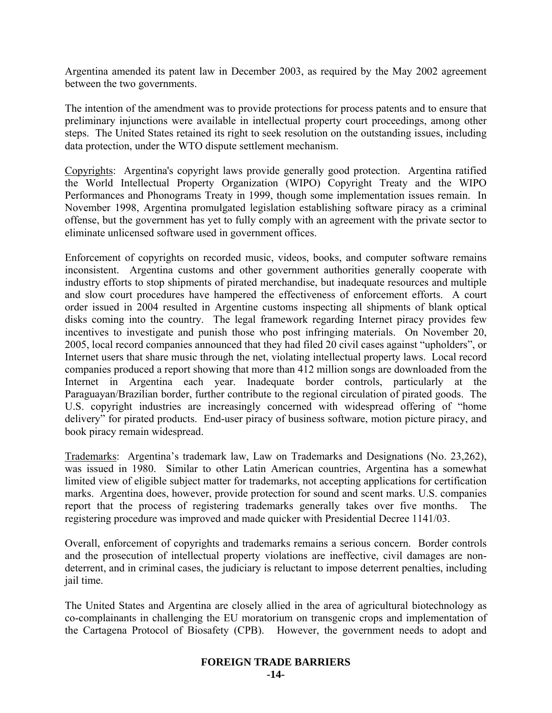Argentina amended its patent law in December 2003, as required by the May 2002 agreement between the two governments.

The intention of the amendment was to provide protections for process patents and to ensure that preliminary injunctions were available in intellectual property court proceedings, among other steps. The United States retained its right to seek resolution on the outstanding issues, including data protection, under the WTO dispute settlement mechanism.

Copyrights: Argentina's copyright laws provide generally good protection. Argentina ratified the World Intellectual Property Organization (WIPO) Copyright Treaty and the WIPO Performances and Phonograms Treaty in 1999, though some implementation issues remain. In November 1998, Argentina promulgated legislation establishing software piracy as a criminal offense, but the government has yet to fully comply with an agreement with the private sector to eliminate unlicensed software used in government offices.

Enforcement of copyrights on recorded music, videos, books, and computer software remains inconsistent. Argentina customs and other government authorities generally cooperate with industry efforts to stop shipments of pirated merchandise, but inadequate resources and multiple and slow court procedures have hampered the effectiveness of enforcement efforts. A court order issued in 2004 resulted in Argentine customs inspecting all shipments of blank optical disks coming into the country. The legal framework regarding Internet piracy provides few incentives to investigate and punish those who post infringing materials. On November 20, 2005, local record companies announced that they had filed 20 civil cases against "upholders", or Internet users that share music through the net, violating intellectual property laws. Local record companies produced a report showing that more than 412 million songs are downloaded from the Internet in Argentina each year. Inadequate border controls, particularly at the Paraguayan/Brazilian border, further contribute to the regional circulation of pirated goods. The U.S. copyright industries are increasingly concerned with widespread offering of "home delivery" for pirated products. End-user piracy of business software, motion picture piracy, and book piracy remain widespread.

Trademarks: Argentina's trademark law, Law on Trademarks and Designations (No. 23,262), was issued in 1980. Similar to other Latin American countries, Argentina has a somewhat limited view of eligible subject matter for trademarks, not accepting applications for certification marks. Argentina does, however, provide protection for sound and scent marks. U.S. companies report that the process of registering trademarks generally takes over five months. The registering procedure was improved and made quicker with Presidential Decree 1141/03.

Overall, enforcement of copyrights and trademarks remains a serious concern. Border controls and the prosecution of intellectual property violations are ineffective, civil damages are nondeterrent, and in criminal cases, the judiciary is reluctant to impose deterrent penalties, including jail time.

The United States and Argentina are closely allied in the area of agricultural biotechnology as co-complainants in challenging the EU moratorium on transgenic crops and implementation of the Cartagena Protocol of Biosafety (CPB). However, the government needs to adopt and

#### **FOREIGN TRADE BARRIERS -14-**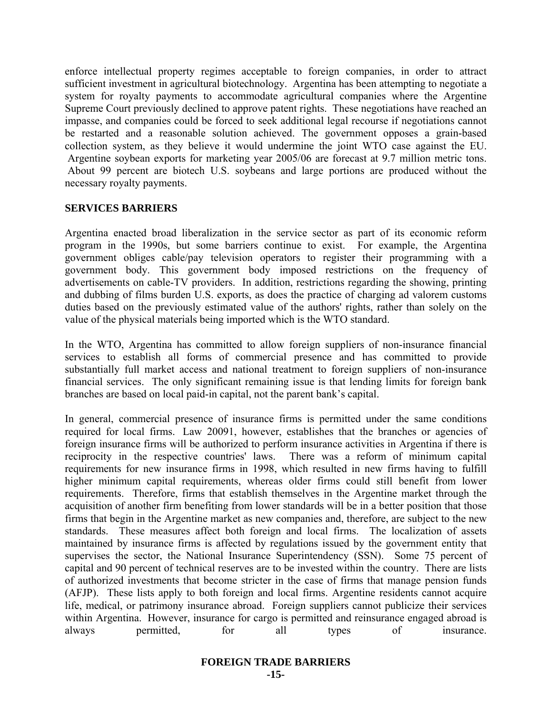enforce intellectual property regimes acceptable to foreign companies, in order to attract sufficient investment in agricultural biotechnology. Argentina has been attempting to negotiate a system for royalty payments to accommodate agricultural companies where the Argentine Supreme Court previously declined to approve patent rights. These negotiations have reached an impasse, and companies could be forced to seek additional legal recourse if negotiations cannot be restarted and a reasonable solution achieved. The government opposes a grain-based collection system, as they believe it would undermine the joint WTO case against the EU. Argentine soybean exports for marketing year 2005/06 are forecast at 9.7 million metric tons. About 99 percent are biotech U.S. soybeans and large portions are produced without the necessary royalty payments.

#### **SERVICES BARRIERS**

Argentina enacted broad liberalization in the service sector as part of its economic reform program in the 1990s, but some barriers continue to exist. For example, the Argentina government obliges cable/pay television operators to register their programming with a government body. This government body imposed restrictions on the frequency of advertisements on cable-TV providers. In addition, restrictions regarding the showing, printing and dubbing of films burden U.S. exports, as does the practice of charging ad valorem customs duties based on the previously estimated value of the authors' rights, rather than solely on the value of the physical materials being imported which is the WTO standard.

In the WTO, Argentina has committed to allow foreign suppliers of non-insurance financial services to establish all forms of commercial presence and has committed to provide substantially full market access and national treatment to foreign suppliers of non-insurance financial services. The only significant remaining issue is that lending limits for foreign bank branches are based on local paid-in capital, not the parent bank's capital.

In general, commercial presence of insurance firms is permitted under the same conditions required for local firms. Law 20091, however, establishes that the branches or agencies of foreign insurance firms will be authorized to perform insurance activities in Argentina if there is reciprocity in the respective countries' laws. There was a reform of minimum capital requirements for new insurance firms in 1998, which resulted in new firms having to fulfill higher minimum capital requirements, whereas older firms could still benefit from lower requirements. Therefore, firms that establish themselves in the Argentine market through the acquisition of another firm benefiting from lower standards will be in a better position that those firms that begin in the Argentine market as new companies and, therefore, are subject to the new standards. These measures affect both foreign and local firms. The localization of assets maintained by insurance firms is affected by regulations issued by the government entity that supervises the sector, the National Insurance Superintendency (SSN). Some 75 percent of capital and 90 percent of technical reserves are to be invested within the country. There are lists of authorized investments that become stricter in the case of firms that manage pension funds (AFJP). These lists apply to both foreign and local firms. Argentine residents cannot acquire life, medical, or patrimony insurance abroad. Foreign suppliers cannot publicize their services within Argentina. However, insurance for cargo is permitted and reinsurance engaged abroad is always permitted, for all types of insurance.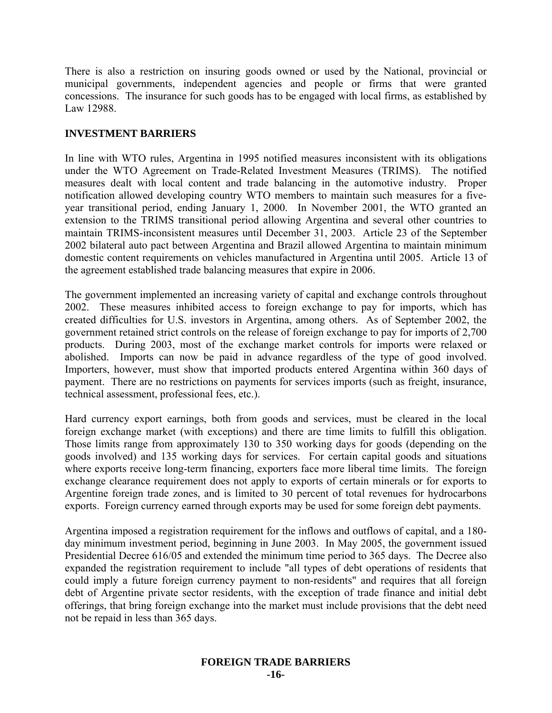There is also a restriction on insuring goods owned or used by the National, provincial or municipal governments, independent agencies and people or firms that were granted concessions. The insurance for such goods has to be engaged with local firms, as established by Law 12988.

#### **INVESTMENT BARRIERS**

In line with WTO rules, Argentina in 1995 notified measures inconsistent with its obligations under the WTO Agreement on Trade-Related Investment Measures (TRIMS). The notified measures dealt with local content and trade balancing in the automotive industry. Proper notification allowed developing country WTO members to maintain such measures for a fiveyear transitional period, ending January 1, 2000. In November 2001, the WTO granted an extension to the TRIMS transitional period allowing Argentina and several other countries to maintain TRIMS-inconsistent measures until December 31, 2003. Article 23 of the September 2002 bilateral auto pact between Argentina and Brazil allowed Argentina to maintain minimum domestic content requirements on vehicles manufactured in Argentina until 2005. Article 13 of the agreement established trade balancing measures that expire in 2006.

The government implemented an increasing variety of capital and exchange controls throughout 2002. These measures inhibited access to foreign exchange to pay for imports, which has created difficulties for U.S. investors in Argentina, among others. As of September 2002, the government retained strict controls on the release of foreign exchange to pay for imports of 2,700 products. During 2003, most of the exchange market controls for imports were relaxed or abolished. Imports can now be paid in advance regardless of the type of good involved. Importers, however, must show that imported products entered Argentina within 360 days of payment. There are no restrictions on payments for services imports (such as freight, insurance, technical assessment, professional fees, etc.).

Hard currency export earnings, both from goods and services, must be cleared in the local foreign exchange market (with exceptions) and there are time limits to fulfill this obligation. Those limits range from approximately 130 to 350 working days for goods (depending on the goods involved) and 135 working days for services. For certain capital goods and situations where exports receive long-term financing, exporters face more liberal time limits. The foreign exchange clearance requirement does not apply to exports of certain minerals or for exports to Argentine foreign trade zones, and is limited to 30 percent of total revenues for hydrocarbons exports. Foreign currency earned through exports may be used for some foreign debt payments.

Argentina imposed a registration requirement for the inflows and outflows of capital, and a 180 day minimum investment period, beginning in June 2003. In May 2005, the government issued Presidential Decree 616/05 and extended the minimum time period to 365 days. The Decree also expanded the registration requirement to include "all types of debt operations of residents that could imply a future foreign currency payment to non-residents" and requires that all foreign debt of Argentine private sector residents, with the exception of trade finance and initial debt offerings, that bring foreign exchange into the market must include provisions that the debt need not be repaid in less than 365 days.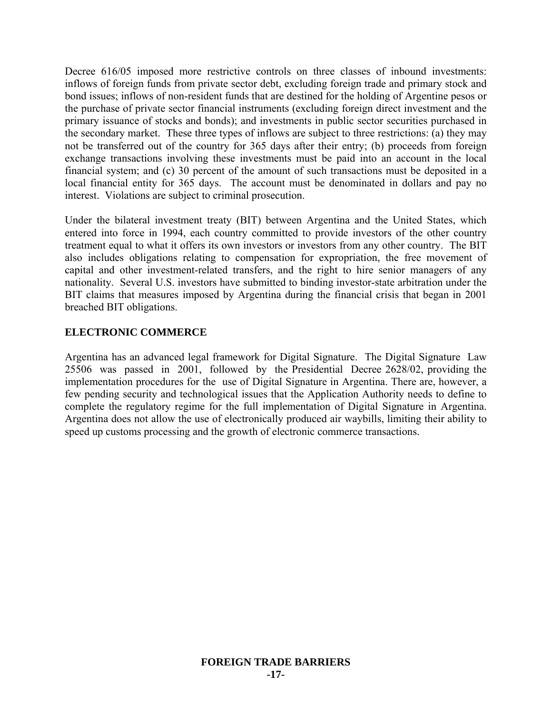Decree 616/05 imposed more restrictive controls on three classes of inbound investments: inflows of foreign funds from private sector debt, excluding foreign trade and primary stock and bond issues; inflows of non-resident funds that are destined for the holding of Argentine pesos or the purchase of private sector financial instruments (excluding foreign direct investment and the primary issuance of stocks and bonds); and investments in public sector securities purchased in the secondary market. These three types of inflows are subject to three restrictions: (a) they may not be transferred out of the country for 365 days after their entry; (b) proceeds from foreign exchange transactions involving these investments must be paid into an account in the local financial system; and (c) 30 percent of the amount of such transactions must be deposited in a local financial entity for 365 days. The account must be denominated in dollars and pay no interest. Violations are subject to criminal prosecution.

Under the bilateral investment treaty (BIT) between Argentina and the United States, which entered into force in 1994, each country committed to provide investors of the other country treatment equal to what it offers its own investors or investors from any other country. The BIT also includes obligations relating to compensation for expropriation, the free movement of capital and other investment-related transfers, and the right to hire senior managers of any nationality. Several U.S. investors have submitted to binding investor-state arbitration under the BIT claims that measures imposed by Argentina during the financial crisis that began in 2001 breached BIT obligations.

## **ELECTRONIC COMMERCE**

Argentina has an advanced legal framework for Digital Signature. The Digital Signature Law 25506 was passed in 2001, followed by the Presidential Decree 2628/02, providing the implementation procedures for the use of Digital Signature in Argentina. There are, however, a few pending security and technological issues that the Application Authority needs to define to complete the regulatory regime for the full implementation of Digital Signature in Argentina. Argentina does not allow the use of electronically produced air waybills, limiting their ability to speed up customs processing and the growth of electronic commerce transactions.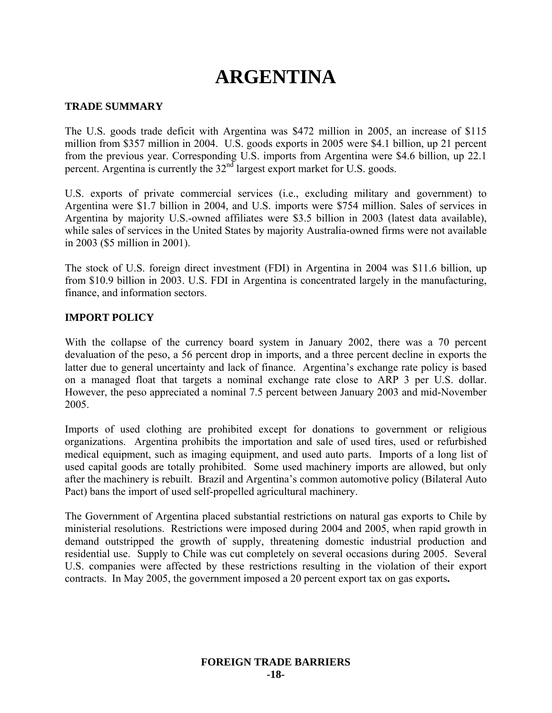# **ARGENTINA**

#### **TRADE SUMMARY**

The U.S. goods trade deficit with Argentina was \$472 million in 2005, an increase of \$115 million from \$357 million in 2004. U.S. goods exports in 2005 were \$4.1 billion, up 21 percent from the previous year. Corresponding U.S. imports from Argentina were \$4.6 billion, up 22.1 percent. Argentina is currently the  $32<sup>nd</sup>$  largest export market for U.S. goods.

U.S. exports of private commercial services (i.e., excluding military and government) to Argentina were \$1.7 billion in 2004, and U.S. imports were \$754 million. Sales of services in Argentina by majority U.S.-owned affiliates were \$3.5 billion in 2003 (latest data available), while sales of services in the United States by majority Australia-owned firms were not available in 2003 (\$5 million in 2001).

The stock of U.S. foreign direct investment (FDI) in Argentina in 2004 was \$11.6 billion, up from \$10.9 billion in 2003. U.S. FDI in Argentina is concentrated largely in the manufacturing, finance, and information sectors.

#### **IMPORT POLICY**

With the collapse of the currency board system in January 2002, there was a 70 percent devaluation of the peso, a 56 percent drop in imports, and a three percent decline in exports the latter due to general uncertainty and lack of finance. Argentina's exchange rate policy is based on a managed float that targets a nominal exchange rate close to ARP 3 per U.S. dollar. However, the peso appreciated a nominal 7.5 percent between January 2003 and mid-November 2005.

Imports of used clothing are prohibited except for donations to government or religious organizations. Argentina prohibits the importation and sale of used tires, used or refurbished medical equipment, such as imaging equipment, and used auto parts. Imports of a long list of used capital goods are totally prohibited. Some used machinery imports are allowed, but only after the machinery is rebuilt. Brazil and Argentina's common automotive policy (Bilateral Auto Pact) bans the import of used self-propelled agricultural machinery.

The Government of Argentina placed substantial restrictions on natural gas exports to Chile by ministerial resolutions. Restrictions were imposed during 2004 and 2005, when rapid growth in demand outstripped the growth of supply, threatening domestic industrial production and residential use. Supply to Chile was cut completely on several occasions during 2005. Several U.S. companies were affected by these restrictions resulting in the violation of their export contracts. In May 2005, the government imposed a 20 percent export tax on gas exports**.**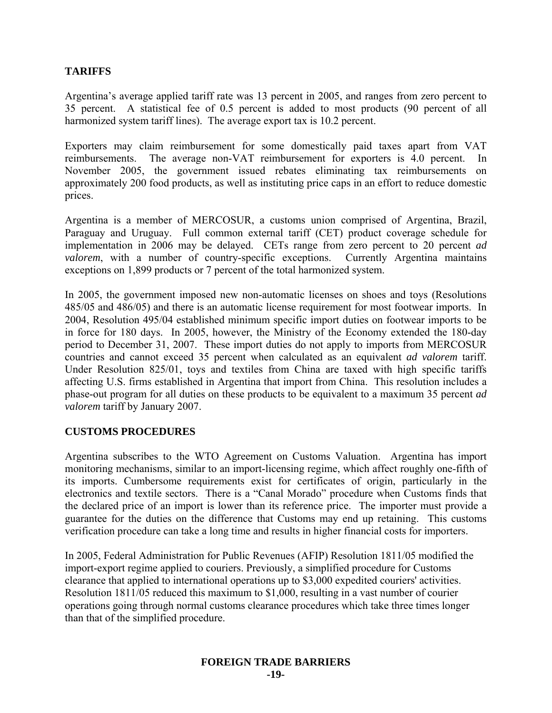## **TARIFFS**

Argentina's average applied tariff rate was 13 percent in 2005, and ranges from zero percent to 35 percent. A statistical fee of 0.5 percent is added to most products (90 percent of all harmonized system tariff lines). The average export tax is 10.2 percent.

Exporters may claim reimbursement for some domestically paid taxes apart from VAT reimbursements. The average non-VAT reimbursement for exporters is 4.0 percent. In November 2005, the government issued rebates eliminating tax reimbursements on approximately 200 food products, as well as instituting price caps in an effort to reduce domestic prices.

Argentina is a member of MERCOSUR, a customs union comprised of Argentina, Brazil, Paraguay and Uruguay. Full common external tariff (CET) product coverage schedule for implementation in 2006 may be delayed. CETs range from zero percent to 20 percent *ad valorem*, with a number of country-specific exceptions. Currently Argentina maintains exceptions on 1,899 products or 7 percent of the total harmonized system.

In 2005, the government imposed new non-automatic licenses on shoes and toys (Resolutions 485/05 and 486/05) and there is an automatic license requirement for most footwear imports. In 2004, Resolution 495/04 established minimum specific import duties on footwear imports to be in force for 180 days. In 2005, however, the Ministry of the Economy extended the 180-day period to December 31, 2007. These import duties do not apply to imports from MERCOSUR countries and cannot exceed 35 percent when calculated as an equivalent *ad valorem* tariff. Under Resolution 825/01, toys and textiles from China are taxed with high specific tariffs affecting U.S. firms established in Argentina that import from China. This resolution includes a phase-out program for all duties on these products to be equivalent to a maximum 35 percent *ad valorem* tariff by January 2007.

#### **CUSTOMS PROCEDURES**

Argentina subscribes to the WTO Agreement on Customs Valuation. Argentina has import monitoring mechanisms, similar to an import-licensing regime, which affect roughly one-fifth of its imports. Cumbersome requirements exist for certificates of origin, particularly in the electronics and textile sectors. There is a "Canal Morado" procedure when Customs finds that the declared price of an import is lower than its reference price. The importer must provide a guarantee for the duties on the difference that Customs may end up retaining. This customs verification procedure can take a long time and results in higher financial costs for importers.

In 2005, Federal Administration for Public Revenues (AFIP) Resolution 1811/05 modified the import-export regime applied to couriers. Previously, a simplified procedure for Customs clearance that applied to international operations up to \$3,000 expedited couriers' activities. Resolution 1811/05 reduced this maximum to \$1,000, resulting in a vast number of courier operations going through normal customs clearance procedures which take three times longer than that of the simplified procedure.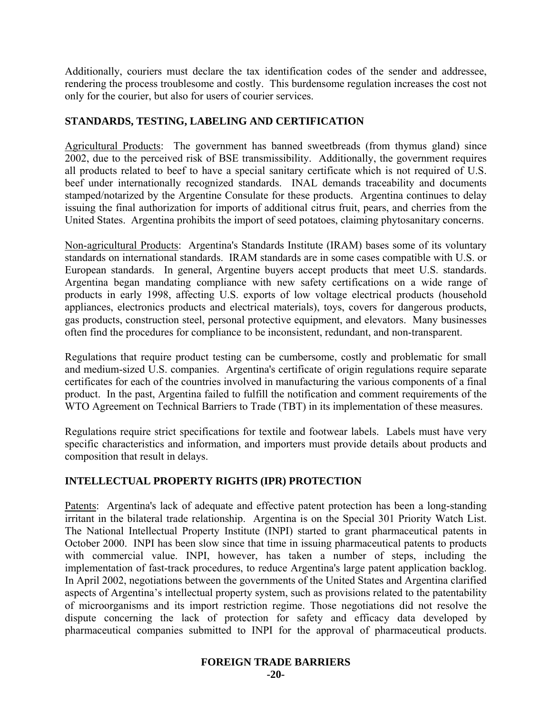Additionally, couriers must declare the tax identification codes of the sender and addressee, rendering the process troublesome and costly. This burdensome regulation increases the cost not only for the courier, but also for users of courier services.

### **STANDARDS, TESTING, LABELING AND CERTIFICATION**

Agricultural Products: The government has banned sweetbreads (from thymus gland) since 2002, due to the perceived risk of BSE transmissibility. Additionally, the government requires all products related to beef to have a special sanitary certificate which is not required of U.S. beef under internationally recognized standards. INAL demands traceability and documents stamped/notarized by the Argentine Consulate for these products. Argentina continues to delay issuing the final authorization for imports of additional citrus fruit, pears, and cherries from the United States. Argentina prohibits the import of seed potatoes, claiming phytosanitary concerns.

Non-agricultural Products: Argentina's Standards Institute (IRAM) bases some of its voluntary standards on international standards. IRAM standards are in some cases compatible with U.S. or European standards. In general, Argentine buyers accept products that meet U.S. standards. Argentina began mandating compliance with new safety certifications on a wide range of products in early 1998, affecting U.S. exports of low voltage electrical products (household appliances, electronics products and electrical materials), toys, covers for dangerous products, gas products, construction steel, personal protective equipment, and elevators. Many businesses often find the procedures for compliance to be inconsistent, redundant, and non-transparent.

Regulations that require product testing can be cumbersome, costly and problematic for small and medium-sized U.S. companies. Argentina's certificate of origin regulations require separate certificates for each of the countries involved in manufacturing the various components of a final product. In the past, Argentina failed to fulfill the notification and comment requirements of the WTO Agreement on Technical Barriers to Trade (TBT) in its implementation of these measures.

Regulations require strict specifications for textile and footwear labels. Labels must have very specific characteristics and information, and importers must provide details about products and composition that result in delays.

## **INTELLECTUAL PROPERTY RIGHTS (IPR) PROTECTION**

Patents: Argentina's lack of adequate and effective patent protection has been a long-standing irritant in the bilateral trade relationship. Argentina is on the Special 301 Priority Watch List. The National Intellectual Property Institute (INPI) started to grant pharmaceutical patents in October 2000. INPI has been slow since that time in issuing pharmaceutical patents to products with commercial value. INPI, however, has taken a number of steps, including the implementation of fast-track procedures, to reduce Argentina's large patent application backlog. In April 2002, negotiations between the governments of the United States and Argentina clarified aspects of Argentina's intellectual property system, such as provisions related to the patentability of microorganisms and its import restriction regime. Those negotiations did not resolve the dispute concerning the lack of protection for safety and efficacy data developed by pharmaceutical companies submitted to INPI for the approval of pharmaceutical products.

#### **FOREIGN TRADE BARRIERS**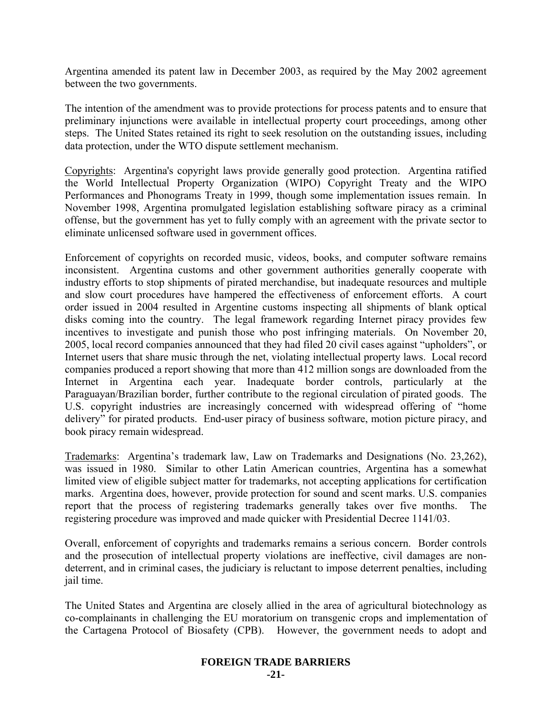Argentina amended its patent law in December 2003, as required by the May 2002 agreement between the two governments.

The intention of the amendment was to provide protections for process patents and to ensure that preliminary injunctions were available in intellectual property court proceedings, among other steps. The United States retained its right to seek resolution on the outstanding issues, including data protection, under the WTO dispute settlement mechanism.

Copyrights: Argentina's copyright laws provide generally good protection. Argentina ratified the World Intellectual Property Organization (WIPO) Copyright Treaty and the WIPO Performances and Phonograms Treaty in 1999, though some implementation issues remain. In November 1998, Argentina promulgated legislation establishing software piracy as a criminal offense, but the government has yet to fully comply with an agreement with the private sector to eliminate unlicensed software used in government offices.

Enforcement of copyrights on recorded music, videos, books, and computer software remains inconsistent. Argentina customs and other government authorities generally cooperate with industry efforts to stop shipments of pirated merchandise, but inadequate resources and multiple and slow court procedures have hampered the effectiveness of enforcement efforts. A court order issued in 2004 resulted in Argentine customs inspecting all shipments of blank optical disks coming into the country. The legal framework regarding Internet piracy provides few incentives to investigate and punish those who post infringing materials. On November 20, 2005, local record companies announced that they had filed 20 civil cases against "upholders", or Internet users that share music through the net, violating intellectual property laws. Local record companies produced a report showing that more than 412 million songs are downloaded from the Internet in Argentina each year. Inadequate border controls, particularly at the Paraguayan/Brazilian border, further contribute to the regional circulation of pirated goods. The U.S. copyright industries are increasingly concerned with widespread offering of "home delivery" for pirated products. End-user piracy of business software, motion picture piracy, and book piracy remain widespread.

Trademarks: Argentina's trademark law, Law on Trademarks and Designations (No. 23,262), was issued in 1980. Similar to other Latin American countries, Argentina has a somewhat limited view of eligible subject matter for trademarks, not accepting applications for certification marks. Argentina does, however, provide protection for sound and scent marks. U.S. companies report that the process of registering trademarks generally takes over five months. The registering procedure was improved and made quicker with Presidential Decree 1141/03.

Overall, enforcement of copyrights and trademarks remains a serious concern. Border controls and the prosecution of intellectual property violations are ineffective, civil damages are nondeterrent, and in criminal cases, the judiciary is reluctant to impose deterrent penalties, including jail time.

The United States and Argentina are closely allied in the area of agricultural biotechnology as co-complainants in challenging the EU moratorium on transgenic crops and implementation of the Cartagena Protocol of Biosafety (CPB). However, the government needs to adopt and

## **FOREIGN TRADE BARRIERS**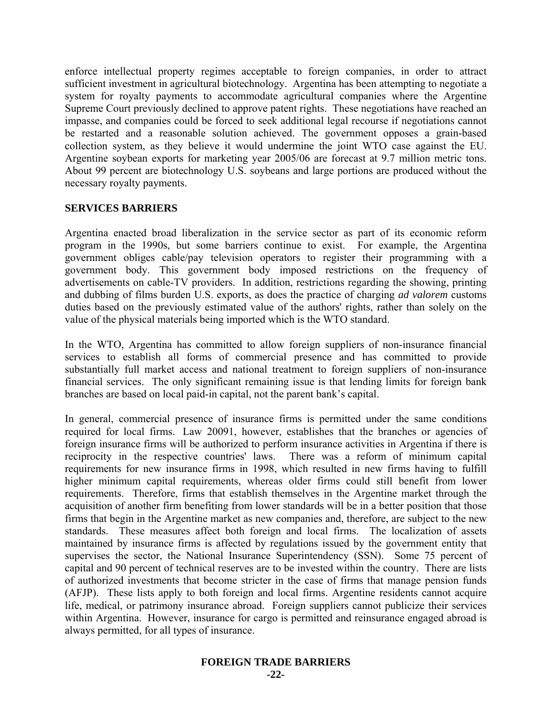enforce intellectual property regimes acceptable to foreign companies, in order to attract sufficient investment in agricultural biotechnology. Argentina has been attempting to negotiate a system for royalty payments to accommodate agricultural companies where the Argentine Supreme Court previously declined to approve patent rights. These negotiations have reached an impasse, and companies could be forced to seek additional legal recourse if negotiations cannot be restarted and a reasonable solution achieved. The government opposes a grain-based collection system, as they believe it would undermine the joint WTO case against the EU. Argentine soybean exports for marketing year 2005/06 are forecast at 9.7 million metric tons. About 99 percent are biotechnology U.S. soybeans and large portions are produced without the necessary royalty payments.

#### **SERVICES BARRIERS**

Argentina enacted broad liberalization in the service sector as part of its economic reform program in the 1990s, but some barriers continue to exist. For example, the Argentina government obliges cable/pay television operators to register their programming with a government body. This government body imposed restrictions on the frequency of advertisements on cable-TV providers. In addition, restrictions regarding the showing, printing and dubbing of films burden U.S. exports, as does the practice of charging *ad valorem* customs duties based on the previously estimated value of the authors' rights, rather than solely on the value of the physical materials being imported which is the WTO standard.

In the WTO, Argentina has committed to allow foreign suppliers of non-insurance financial services to establish all forms of commercial presence and has committed to provide substantially full market access and national treatment to foreign suppliers of non-insurance financial services. The only significant remaining issue is that lending limits for foreign bank branches are based on local paid-in capital, not the parent bank's capital.

In general, commercial presence of insurance firms is permitted under the same conditions required for local firms. Law 20091, however, establishes that the branches or agencies of foreign insurance firms will be authorized to perform insurance activities in Argentina if there is reciprocity in the respective countries' laws. There was a reform of minimum capital requirements for new insurance firms in 1998, which resulted in new firms having to fulfill higher minimum capital requirements, whereas older firms could still benefit from lower requirements. Therefore, firms that establish themselves in the Argentine market through the acquisition of another firm benefiting from lower standards will be in a better position that those firms that begin in the Argentine market as new companies and, therefore, are subject to the new standards. These measures affect both foreign and local firms. The localization of assets maintained by insurance firms is affected by regulations issued by the government entity that supervises the sector, the National Insurance Superintendency (SSN). Some 75 percent of capital and 90 percent of technical reserves are to be invested within the country. There are lists of authorized investments that become stricter in the case of firms that manage pension funds (AFJP). These lists apply to both foreign and local firms. Argentine residents cannot acquire life, medical, or patrimony insurance abroad. Foreign suppliers cannot publicize their services within Argentina. However, insurance for cargo is permitted and reinsurance engaged abroad is always permitted, for all types of insurance.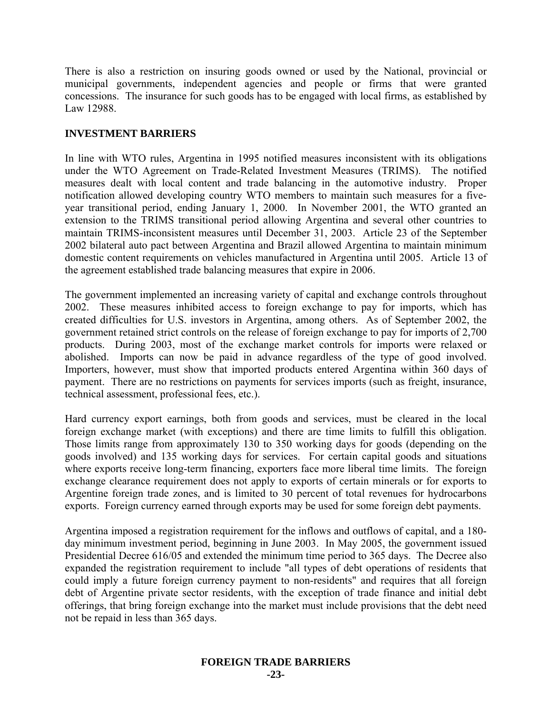There is also a restriction on insuring goods owned or used by the National, provincial or municipal governments, independent agencies and people or firms that were granted concessions. The insurance for such goods has to be engaged with local firms, as established by Law 12988.

#### **INVESTMENT BARRIERS**

In line with WTO rules, Argentina in 1995 notified measures inconsistent with its obligations under the WTO Agreement on Trade-Related Investment Measures (TRIMS). The notified measures dealt with local content and trade balancing in the automotive industry. Proper notification allowed developing country WTO members to maintain such measures for a fiveyear transitional period, ending January 1, 2000. In November 2001, the WTO granted an extension to the TRIMS transitional period allowing Argentina and several other countries to maintain TRIMS-inconsistent measures until December 31, 2003. Article 23 of the September 2002 bilateral auto pact between Argentina and Brazil allowed Argentina to maintain minimum domestic content requirements on vehicles manufactured in Argentina until 2005. Article 13 of the agreement established trade balancing measures that expire in 2006.

The government implemented an increasing variety of capital and exchange controls throughout 2002. These measures inhibited access to foreign exchange to pay for imports, which has created difficulties for U.S. investors in Argentina, among others. As of September 2002, the government retained strict controls on the release of foreign exchange to pay for imports of 2,700 products. During 2003, most of the exchange market controls for imports were relaxed or abolished. Imports can now be paid in advance regardless of the type of good involved. Importers, however, must show that imported products entered Argentina within 360 days of payment. There are no restrictions on payments for services imports (such as freight, insurance, technical assessment, professional fees, etc.).

Hard currency export earnings, both from goods and services, must be cleared in the local foreign exchange market (with exceptions) and there are time limits to fulfill this obligation. Those limits range from approximately 130 to 350 working days for goods (depending on the goods involved) and 135 working days for services. For certain capital goods and situations where exports receive long-term financing, exporters face more liberal time limits. The foreign exchange clearance requirement does not apply to exports of certain minerals or for exports to Argentine foreign trade zones, and is limited to 30 percent of total revenues for hydrocarbons exports. Foreign currency earned through exports may be used for some foreign debt payments.

Argentina imposed a registration requirement for the inflows and outflows of capital, and a 180 day minimum investment period, beginning in June 2003. In May 2005, the government issued Presidential Decree 616/05 and extended the minimum time period to 365 days. The Decree also expanded the registration requirement to include "all types of debt operations of residents that could imply a future foreign currency payment to non-residents" and requires that all foreign debt of Argentine private sector residents, with the exception of trade finance and initial debt offerings, that bring foreign exchange into the market must include provisions that the debt need not be repaid in less than 365 days.